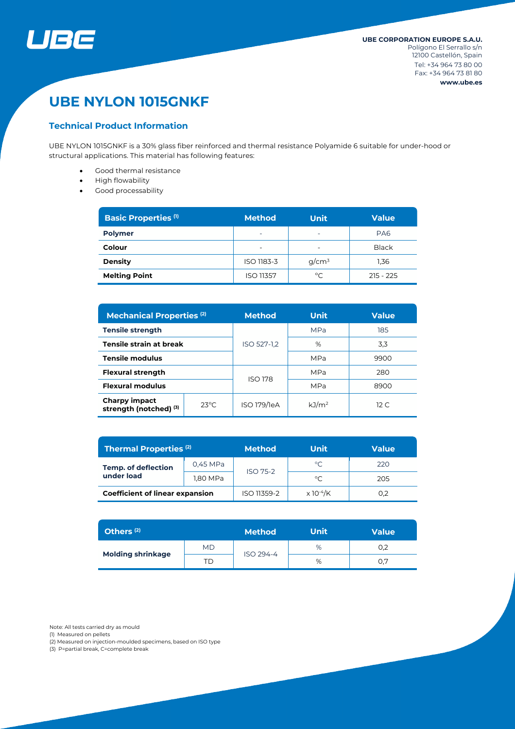

# **UBE NYLON 1015GNKF**

# **Technical Product Information**

UBE NYLON 1015GNKF is a 30% glass fiber reinforced and thermal resistance Polyamide 6 suitable for under-hood or structural applications. This material has following features:

- Good thermal resistance
- High flowability
- Good processability

| <b>Basic Properties (1)</b> | <b>Method</b>          | Unit                     | <b>Value</b>    |  |
|-----------------------------|------------------------|--------------------------|-----------------|--|
| <b>Polymer</b>              | ۰                      | ۰                        | PA <sub>6</sub> |  |
| Colour                      |                        | $\overline{\phantom{0}}$ | <b>Black</b>    |  |
| <b>Density</b>              | $g/cm^3$<br>ISO 1183-3 |                          | 1,36            |  |
| <b>Melting Point</b>        | <b>ISO 11357</b>       | $^{\circ}$ C             | $215 - 225$     |  |

| <b>Mechanical Properties (2)</b>               |                 | <b>Unit</b><br><b>Method</b> |                   | <b>Value</b> |  |
|------------------------------------------------|-----------------|------------------------------|-------------------|--------------|--|
| <b>Tensile strength</b>                        |                 |                              | <b>MPa</b>        | 185          |  |
| Tensile strain at break                        |                 | ISO 527-1,2                  | %                 | 3,3          |  |
| <b>Tensile modulus</b>                         |                 |                              | MPa               | 9900         |  |
| <b>Flexural strength</b>                       |                 | <b>ISO 178</b>               | MPa               | 280          |  |
| <b>Flexural modulus</b>                        |                 |                              | MPa               | 8900         |  |
| <b>Charpy impact</b><br>strength (notched) (3) | $23^{\circ}$ C. | ISO 179/1eA                  | kJ/m <sup>2</sup> | 12 $C$       |  |

| <b>Thermal Properties (2)</b>            |          | <b>Method</b> | Unit                 | Value |  |
|------------------------------------------|----------|---------------|----------------------|-------|--|
| <b>Temp. of deflection</b><br>under load | 0,45 MPa | ISO 75-2      | $^{\circ}$ C         | 220   |  |
|                                          | 1,80 MPa |               | $^{\circ}$ C         | 205   |  |
| <b>Coefficient of linear expansion</b>   |          | ISO 11359-2   | $\times$ 10 $^{4}/K$ | 0.2   |  |

| Others <sup>(2)</sup>    |           | <b>Method</b> | <b>Unit</b> | <b>Value</b> |  |
|--------------------------|-----------|---------------|-------------|--------------|--|
| <b>Molding shrinkage</b> | <b>MD</b> |               | %           | 0.2          |  |
|                          | TD        | ISO 294-4     | %           | 0.7          |  |

Note: All tests carried dry as mould

(1) Measured on pellets

(2) Measured on injection-moulded specimens, based on ISO type

(3) P=partial break, C=complete break